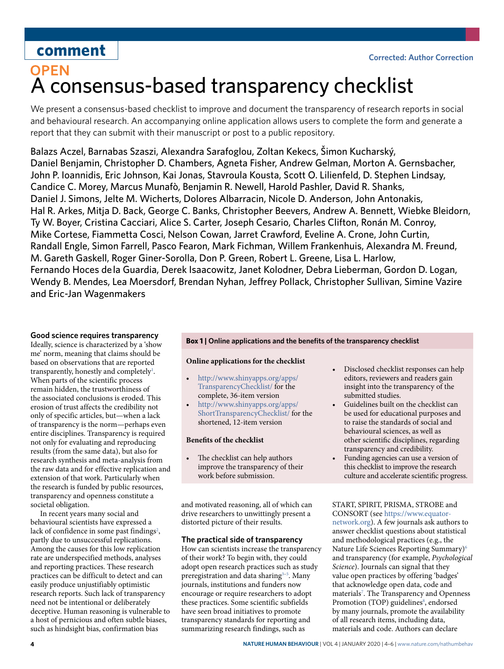## **comment**

# **OPEN** A consensus-based transparency checklist

We present a consensus-based checklist to improve and document the transparency of research reports in social and behavioural research. An accompanying online application allows users to complete the form and generate a report that they can submit with their manuscript or post to a public repository.

Balazs Aczel, Barnabas Szaszi, Alexandra Sarafoglou, Zoltan Kekecs, Šimon Kucharský, Daniel Benjamin, Christopher D. Chambers, Agneta Fisher, Andrew Gelman, Morton A. Gernsbacher, John P. Ioannidis, Eric Johnson, Kai Jonas, Stavroula Kousta, Scott O. Lilienfeld, D. Stephen Lindsay, Candice C. Morey, Marcus Munafò, Benjamin R. Newell, Harold Pashler, David R. Shanks, Daniel J. Simons, Jelte M. Wicherts, Dolores Albarracin, Nicole D. Anderson, John Antonakis, Hal R. Arkes, Mitja D. Back, George C. Banks, Christopher Beevers, Andrew A. Bennett, Wiebke Bleidorn, Ty W. Boyer, Cristina Cacciari, Alice S. Carter, Joseph Cesario, Charles Clifton, Ronán M. Conroy, Mike Cortese, Fiammetta Cosci, Nelson Cowan, Jarret Crawford, Eveline A. Crone, John Curtin, Randall Engle, Simon Farrell, Pasco Fearon, Mark Fichman, Willem Frankenhuis, Alexandra M. Freund, M. Gareth Gaskell, Roger Giner-Sorolla, Don P. Green, Robert L. Greene, Lisa L. Harlow, Fernando Hoces de la Guardia, Derek Isaacowitz, Janet Kolodner, Debra Lieberman, Gordon D. Logan, Wendy B. Mendes, Lea Moersdorf, Brendan Nyhan, Jefrey Pollack, Christopher Sullivan, Simine Vazire and Eric-Jan Wagenmakers

## **Good science requires transparency**

Ideally, science is characterized by a 'show me' norm, meaning that claims should be based on observations that are reported transparently, honestly and completely<sup>[1](#page-2-0)</sup>. When parts of the scientific process remain hidden, the trustworthiness of the associated conclusions is eroded. This erosion of trust affects the credibility not only of specific articles, but—when a lack of transparency is the norm—perhaps even entire disciplines. Transparency is required not only for evaluating and reproducing results (from the same data), but also for research synthesis and meta-analysis from the raw data and for effective replication and extension of that work. Particularly when the research is funded by public resources, transparency and openness constitute a societal obligation.

In recent years many social and behavioural scientists have expressed a lack of confidence in some past findings<sup>[2](#page-2-1)</sup>, partly due to unsuccessful replications. Among the causes for this low replication rate are underspecified methods, analyses and reporting practices. These research practices can be difficult to detect and can easily produce unjustifiably optimistic research reports. Such lack of transparency need not be intentional or deliberately deceptive. Human reasoning is vulnerable to a host of pernicious and often subtle biases, such as hindsight bias, confirmation bias

### <span id="page-0-0"></span>**Box 1 | Online applications and the benefts of the transparency checklist**

### **Online applications for the checklist**

- [http://www.shinyapps.org/apps/](http://www.shinyapps.org/apps/TransparencyChecklist/) [TransparencyChecklist/](http://www.shinyapps.org/apps/TransparencyChecklist/) for the complete, 36-item version
- • [http://www.shinyapps.org/apps/](http://www.shinyapps.org/apps/ShortTransparencyChecklist/) [ShortTransparencyChecklist/](http://www.shinyapps.org/apps/ShortTransparencyChecklist/) for the shortened, 12-item version

## **Benefts of the checklist**

The checklist can help authors improve the transparency of their work before submission.

and motivated reasoning, all of which can drive researchers to unwittingly present a distorted picture of their results.

### **The practical side of transparency**

How can scientists increase the transparency of their work? To begin with, they could adopt open research practices such as study preregistration and data sharing<sup>3-[5](#page-2-3)</sup>. Many journals, institutions and funders now encourage or require researchers to adopt these practices. Some scientific subfields have seen broad initiatives to promote transparency standards for reporting and summarizing research findings, such as

- • Disclosed checklist responses can help editors, reviewers and readers gain insight into the transparency of the submitted studies.
- • Guidelines built on the checklist can be used for educational purposes and to raise the standards of social and behavioural sciences, as well as other scientifc disciplines, regarding transparency and credibility.
- • Funding agencies can use a version of this checklist to improve the research culture and accelerate scientifc progress.

START, SPIRIT, PRISMA, STROBE and CONSORT (see [https://www.equator](https://www.equator-network.org)[network.org](https://www.equator-network.org)). A few journals ask authors to answer checklist questions about statistical and methodological practices (e.g., the Nature Life Sciences Reporting Summary)[6](#page-2-4) and transparency (for example, *Psychological Science*). Journals can signal that they value open practices by offering 'badges' that acknowledge open data, code and materials<sup>[7](#page-2-5)</sup>. The Transparency and Openness Promotion (TOP) guidelines<sup>[8](#page-2-6)</sup>, endorsed by many journals, promote the availability of all research items, including data, materials and code. Authors can declare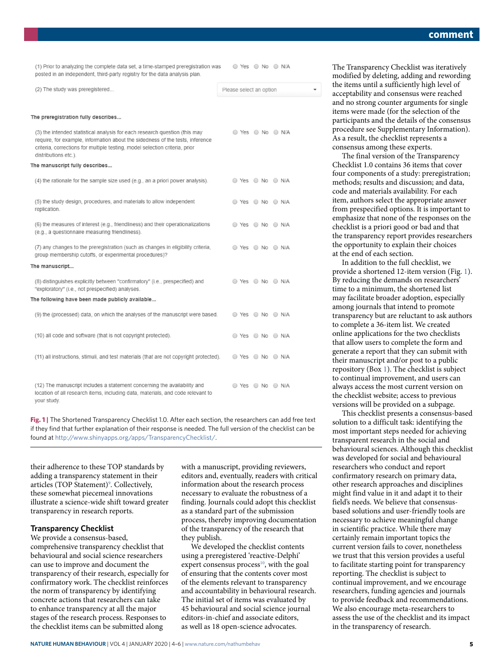(1) Prior to analyzing the complete data set, a time-stamped preregistration was posted in an independent, third-party registry for the data analysis plan.

© Yes ⊙ No ⊙ N/A

| (2) The study was preregistered                                                                                                                                                                                                                                    | Please select an option                     |  |
|--------------------------------------------------------------------------------------------------------------------------------------------------------------------------------------------------------------------------------------------------------------------|---------------------------------------------|--|
|                                                                                                                                                                                                                                                                    |                                             |  |
| The preregistration fully describes                                                                                                                                                                                                                                |                                             |  |
| (3) the intended statistical analysis for each research question (this may<br>require, for example, information about the sidedness of the tests, inference<br>criteria, corrections for multiple testing, model selection criteria, prior<br>distributions etc.). | ⊙ Yes ⊙ No ⊙ N/A                            |  |
| The manuscript fully describes                                                                                                                                                                                                                                     |                                             |  |
| (4) the rationale for the sample size used (e.g., an a priori power analysis).                                                                                                                                                                                     | $\odot$ Yes $\odot$ No $\odot$ N/A          |  |
| (5) the study design, procedures, and materials to allow independent<br>replication.                                                                                                                                                                               | ◯ Yes ◯ No ◯ N/A                            |  |
| (6) the measures of interest (e.g., friendliness) and their operationalizations<br>(e.g., a questionnaire measuring friendliness).                                                                                                                                 | ◯ Yes ◯ No ◯ N/A                            |  |
| (7) any changes to the preregistration (such as changes in eligibility criteria,<br>group membership cutoffs, or experimental procedures)?                                                                                                                         | ◯ Yes ◯ No ◯ N/A                            |  |
| The manuscript                                                                                                                                                                                                                                                     |                                             |  |
| (8) distinguishes explicitly between "confirmatory" (i.e., prespecified) and<br>"exploratory" (i.e., not prespecified) analyses.                                                                                                                                   | $\odot$ Yes $\odot$ No $\odot$ N/A          |  |
| The following have been made publicly available                                                                                                                                                                                                                    |                                             |  |
| (9) the (processed) data, on which the analyses of the manuscript were based.                                                                                                                                                                                      | © Yes ⊙ No ⊙ N/A                            |  |
| (10) all code and software (that is not copyright protected).                                                                                                                                                                                                      | © Yes ⊙ No ⊙ N/A                            |  |
| (11) all instructions, stimuli, and test materials (that are not copyright protected).                                                                                                                                                                             | ◯ Yes ◯ No ◯ N/A                            |  |
| (12) The manuscript includes a statement concerning the availability and<br>location of all research items, including data, materials, and code relevant to<br>your study.                                                                                         | $\bigcirc$ Yes $\bigcirc$ No $\bigcirc$ N/A |  |

<span id="page-1-0"></span>**Fig. 1** | The Shortened Transparency Checklist 1.0. After each section, the researchers can add free text if they find that further explanation of their response is needed. The full version of the checklist can be found at [http://www.shinyapps.org/apps/TransparencyChecklist/.](http://www.shinyapps.org/apps/TransparencyChecklist/)

their adherence to these TOP standards by adding a transparency statement in their articles (TOP Statement)<sup>9</sup>. Collectively, these somewhat piecemeal innovations illustrate a science-wide shift toward greater transparency in research reports.

## **Transparency Checklist**

We provide a consensus-based, comprehensive transparency checklist that behavioural and social science researchers can use to improve and document the transparency of their research, especially for confirmatory work. The checklist reinforces the norm of transparency by identifying concrete actions that researchers can take to enhance transparency at all the major stages of the research process. Responses to the checklist items can be submitted along

with a manuscript, providing reviewers, editors and, eventually, readers with critical information about the research process necessary to evaluate the robustness of a finding. Journals could adopt this checklist as a standard part of the submission process, thereby improving documentation of the transparency of the research that they publish.

We developed the checklist contents using a preregistered 'reactive-Delphi' expert consensus process $10$ , with the goal of ensuring that the contents cover most of the elements relevant to transparency and accountability in behavioural research. The initial set of items was evaluated by 45 behavioural and social science journal editors-in-chief and associate editors, as well as 18 open-science advocates.

The Transparency Checklist was iteratively modified by deleting, adding and rewording the items until a sufficiently high level of acceptability and consensus were reached and no strong counter arguments for single items were made (for the selection of the participants and the details of the consensus procedure see Supplementary Information). As a result, the checklist represents a consensus among these experts.

The final version of the Transparency Checklist 1.0 contains 36 items that cover four components of a study: preregistration; methods; results and discussion; and data, code and materials availability. For each item, authors select the appropriate answer from prespecified options. It is important to emphasize that none of the responses on the checklist is a priori good or bad and that the transparency report provides researchers the opportunity to explain their choices at the end of each section.

In addition to the full checklist, we provide a shortened 12-item version (Fig. [1\)](#page-1-0). By reducing the demands on researchers' time to a minimum, the shortened list may facilitate broader adoption, especially among journals that intend to promote transparency but are reluctant to ask authors to complete a 36-item list. We created online applications for the two checklists that allow users to complete the form and generate a report that they can submit with their manuscript and/or post to a public repository (Box [1\)](#page-0-0). The checklist is subject to continual improvement, and users can always access the most current version on the checklist website; access to previous versions will be provided on a subpage.

This checklist presents a consensus-based solution to a difficult task: identifying the most important steps needed for achieving transparent research in the social and behavioural sciences. Although this checklist was developed for social and behavioural researchers who conduct and report confirmatory research on primary data, other research approaches and disciplines might find value in it and adapt it to their field's needs. We believe that consensusbased solutions and user-friendly tools are necessary to achieve meaningful change in scientific practice. While there may certainly remain important topics the current version fails to cover, nonetheless we trust that this version provides a useful to facilitate starting point for transparency reporting. The checklist is subject to continual improvement, and we encourage researchers, funding agencies and journals to provide feedback and recommendations. We also encourage meta-researchers to assess the use of the checklist and its impact in the transparency of research.